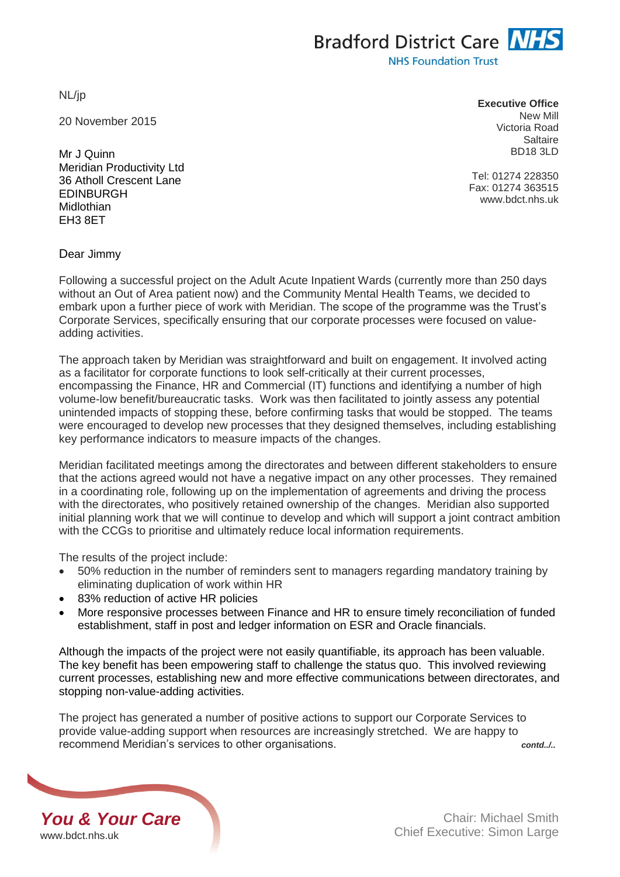**NHS Foundation Trust** 

**Bradford District Care NHS** 

NL/jp

20 November 2015

Mr J Quinn Meridian Productivity Ltd 36 Atholl Crescent Lane **FDINBURGH** Midlothian EH3 8ET

**Executive Office** New Mill Victoria Road Saltaire BD18 3LD

Tel: 01274 228350 Fax: 01274 363515 www.bdct.nhs.uk

Dear Jimmy

Following a successful project on the Adult Acute Inpatient Wards (currently more than 250 days without an Out of Area patient now) and the Community Mental Health Teams, we decided to embark upon a further piece of work with Meridian. The scope of the programme was the Trust's Corporate Services, specifically ensuring that our corporate processes were focused on valueadding activities.

The approach taken by Meridian was straightforward and built on engagement. It involved acting as a facilitator for corporate functions to look self-critically at their current processes, encompassing the Finance, HR and Commercial (IT) functions and identifying a number of high volume-low benefit/bureaucratic tasks. Work was then facilitated to jointly assess any potential unintended impacts of stopping these, before confirming tasks that would be stopped. The teams were encouraged to develop new processes that they designed themselves, including establishing key performance indicators to measure impacts of the changes.

Meridian facilitated meetings among the directorates and between different stakeholders to ensure that the actions agreed would not have a negative impact on any other processes. They remained in a coordinating role, following up on the implementation of agreements and driving the process with the directorates, who positively retained ownership of the changes. Meridian also supported initial planning work that we will continue to develop and which will support a joint contract ambition with the CCGs to prioritise and ultimately reduce local information requirements.

The results of the project include:

- 50% reduction in the number of reminders sent to managers regarding mandatory training by eliminating duplication of work within HR
- 83% reduction of active HR policies
- More responsive processes between Finance and HR to ensure timely reconciliation of funded establishment, staff in post and ledger information on ESR and Oracle financials.

Although the impacts of the project were not easily quantifiable, its approach has been valuable. The key benefit has been empowering staff to challenge the status quo. This involved reviewing current processes, establishing new and more effective communications between directorates, and stopping non-value-adding activities.

The project has generated a number of positive actions to support our Corporate Services to provide value-adding support when resources are increasingly stretched. We are happy to recommend Meridian's services to other organisations. *contd./.. contd./..*